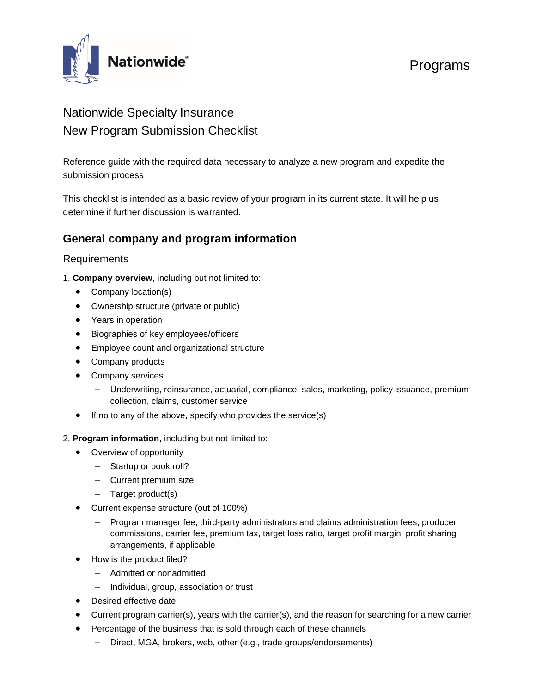

# Nationwide Specialty Insurance New Program Submission Checklist

Reference guide with the required data necessary to analyze a new program and expedite the submission process

This checklist is intended as a basic review of your program in its current state. It will help us determine if further discussion is warranted.

# **General company and program information**

## **Requirements**

- 1. **Company overview**, including but not limited to:
	- Company location(s)
	- Ownership structure (private or public)
	- Years in operation
	- Biographies of key employees/officers
	- Employee count and organizational structure
	- Company products
	- Company services
		- Underwriting, reinsurance, actuarial, compliance, sales, marketing, policy issuance, premium collection, claims, customer service
	- If no to any of the above, specify who provides the service(s)
- 2. **Program information**, including but not limited to:
	- Overview of opportunity
		- − Startup or book roll?
		- − Current premium size
		- − Target product(s)
	- Current expense structure (out of 100%)
		- − Program manager fee, third-party administrators and claims administration fees, producer commissions, carrier fee, premium tax, target loss ratio, target profit margin; profit sharing arrangements, if applicable
	- How is the product filed?
		- − Admitted or nonadmitted
		- − Individual, group, association or trust
	- Desired effective date
	- Current program carrier(s), years with the carrier(s), and the reason for searching for a new carrier
	- Percentage of the business that is sold through each of these channels
		- Direct, MGA, brokers, web, other (e.g., trade groups/endorsements)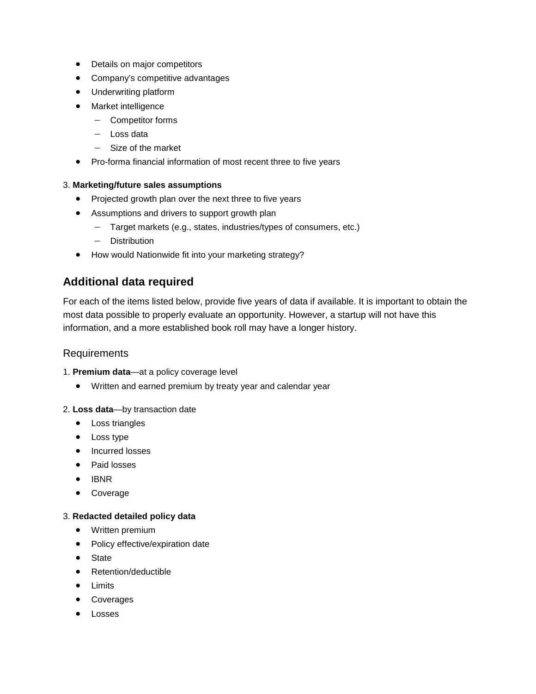- Details on major competitors
- Company's competitive advantages
- Underwriting platform
- Market intelligence
	- − Competitor forms
	- − Loss data
	- − Size of the market
- Pro-forma financial information of most recent three to five years

#### 3. **Marketing/future sales assumptions**

- Projected growth plan over the next three to five years
- Assumptions and drivers to support growth plan
	- − Target markets (e.g., states, industries/types of consumers, etc.)
	- − Distribution
- How would Nationwide fit into your marketing strategy?

# **Additional data required**

For each of the items listed below, provide five years of data if available. It is important to obtain the most data possible to properly evaluate an opportunity. However, a startup will not have this information, and a more established book roll may have a longer history.

### **Requirements**

- 1. **Premium data**—at a policy coverage level
	- Written and earned premium by treaty year and calendar year

#### 2. **Loss data**—by transaction date

- Loss triangles
- Loss type
- Incurred losses
- Paid losses
- IBNR
- Coverage

#### 3. **Redacted detailed policy data**

- Written premium
- Policy effective/expiration date
- **State**
- Retention/deductible
- **Limits**
- **Coverages**
- **Losses**